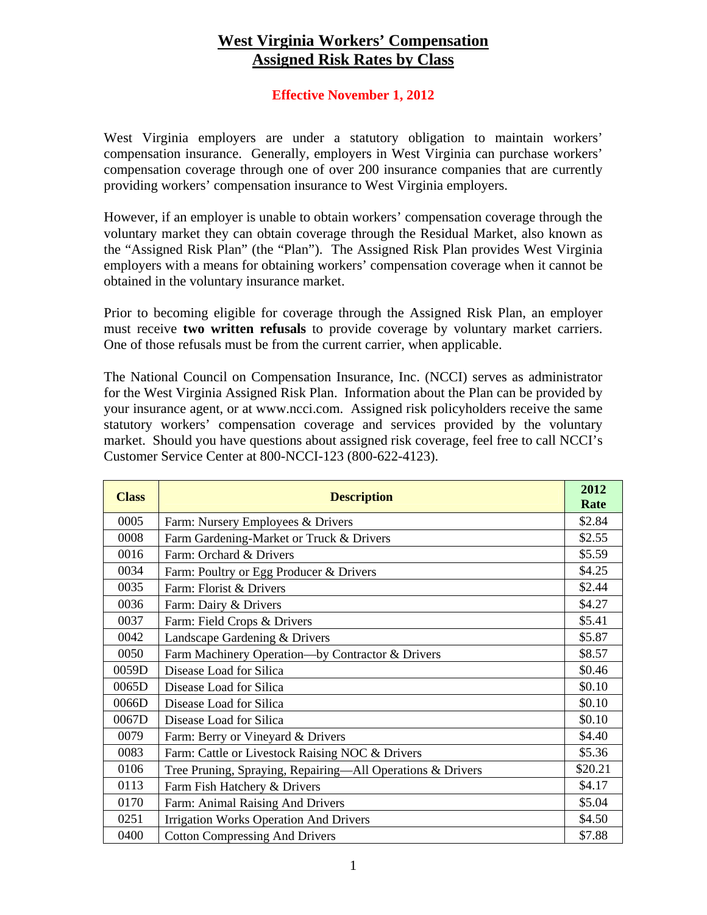## **West Virginia Workers' Compensation Assigned Risk Rates by Class**

## **Effective November 1, 2012**

West Virginia employers are under a statutory obligation to maintain workers' compensation insurance. Generally, employers in West Virginia can purchase workers' compensation coverage through one of over 200 insurance companies that are currently providing workers' compensation insurance to West Virginia employers.

However, if an employer is unable to obtain workers' compensation coverage through the voluntary market they can obtain coverage through the Residual Market, also known as the "Assigned Risk Plan" (the "Plan"). The Assigned Risk Plan provides West Virginia employers with a means for obtaining workers' compensation coverage when it cannot be obtained in the voluntary insurance market.

Prior to becoming eligible for coverage through the Assigned Risk Plan, an employer must receive **two written refusals** to provide coverage by voluntary market carriers. One of those refusals must be from the current carrier, when applicable.

The National Council on Compensation Insurance, Inc. (NCCI) serves as administrator for the West Virginia Assigned Risk Plan. Information about the Plan can be provided by your insurance agent, or at www.ncci.com. Assigned risk policyholders receive the same statutory workers' compensation coverage and services provided by the voluntary market. Should you have questions about assigned risk coverage, feel free to call NCCI's Customer Service Center at 800-NCCI-123 (800-622-4123).

| <b>Class</b> | <b>Description</b>                                         | 2012<br>Rate |
|--------------|------------------------------------------------------------|--------------|
| 0005         | Farm: Nursery Employees & Drivers                          | \$2.84       |
| 0008         | Farm Gardening-Market or Truck & Drivers                   | \$2.55       |
| 0016         | Farm: Orchard & Drivers                                    | \$5.59       |
| 0034         | Farm: Poultry or Egg Producer & Drivers                    | \$4.25       |
| 0035         | Farm: Florist & Drivers                                    | \$2.44       |
| 0036         | Farm: Dairy & Drivers                                      | \$4.27       |
| 0037         | Farm: Field Crops & Drivers                                | \$5.41       |
| 0042         | Landscape Gardening & Drivers                              | \$5.87       |
| 0050         | Farm Machinery Operation-by Contractor & Drivers           | \$8.57       |
| 0059D        | Disease Load for Silica                                    | \$0.46       |
| 0065D        | Disease Load for Silica                                    | \$0.10       |
| 0066D        | Disease Load for Silica                                    | \$0.10       |
| 0067D        | Disease Load for Silica                                    | \$0.10       |
| 0079         | Farm: Berry or Vineyard & Drivers                          | \$4.40       |
| 0083         | Farm: Cattle or Livestock Raising NOC & Drivers            | \$5.36       |
| 0106         | Tree Pruning, Spraying, Repairing-All Operations & Drivers | \$20.21      |
| 0113         | Farm Fish Hatchery & Drivers                               | \$4.17       |
| 0170         | Farm: Animal Raising And Drivers                           | \$5.04       |
| 0251         | <b>Irrigation Works Operation And Drivers</b>              | \$4.50       |
| 0400         | <b>Cotton Compressing And Drivers</b>                      | \$7.88       |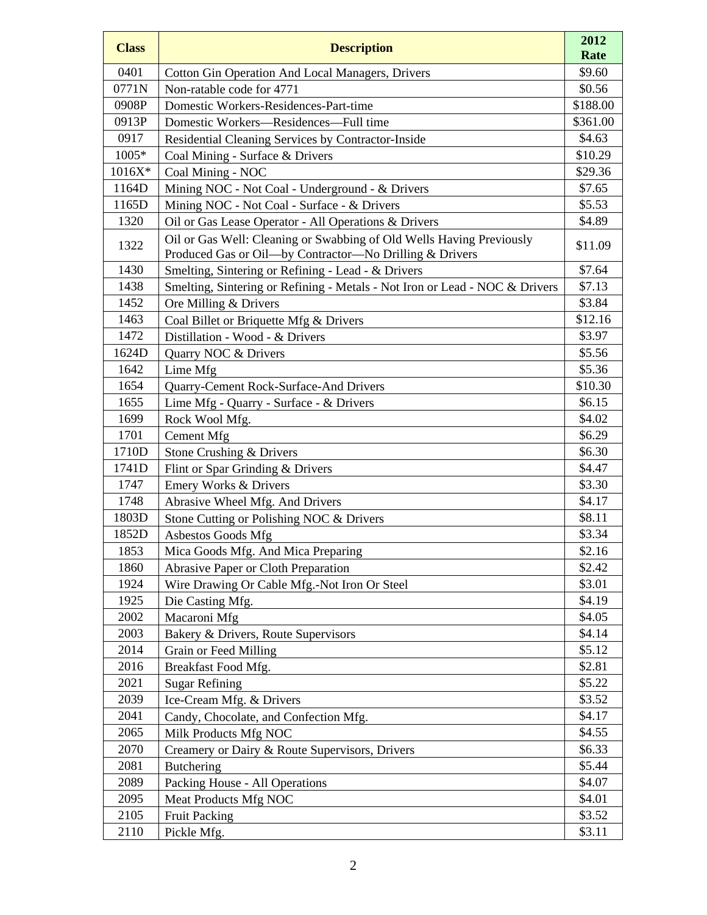| <b>Class</b> | <b>Description</b>                                                                                                              | 2012<br>Rate |
|--------------|---------------------------------------------------------------------------------------------------------------------------------|--------------|
| 0401         | <b>Cotton Gin Operation And Local Managers, Drivers</b>                                                                         | \$9.60       |
| 0771N        | Non-ratable code for 4771                                                                                                       | \$0.56       |
| 0908P        | Domestic Workers-Residences-Part-time                                                                                           | \$188.00     |
| 0913P        | Domestic Workers-Residences-Full time                                                                                           | \$361.00     |
| 0917         | Residential Cleaning Services by Contractor-Inside                                                                              | \$4.63       |
| 1005*        | Coal Mining - Surface & Drivers                                                                                                 | \$10.29      |
| 1016X*       | Coal Mining - NOC                                                                                                               | \$29.36      |
| 1164D        | Mining NOC - Not Coal - Underground - & Drivers                                                                                 | \$7.65       |
| 1165D        | Mining NOC - Not Coal - Surface - & Drivers                                                                                     | \$5.53       |
| 1320         | Oil or Gas Lease Operator - All Operations & Drivers                                                                            | \$4.89       |
| 1322         | Oil or Gas Well: Cleaning or Swabbing of Old Wells Having Previously<br>Produced Gas or Oil-by Contractor-No Drilling & Drivers | \$11.09      |
| 1430         | Smelting, Sintering or Refining - Lead - & Drivers                                                                              | \$7.64       |
| 1438         | Smelting, Sintering or Refining - Metals - Not Iron or Lead - NOC & Drivers                                                     | \$7.13       |
| 1452         | Ore Milling & Drivers                                                                                                           | \$3.84       |
| 1463         | Coal Billet or Briquette Mfg & Drivers                                                                                          | \$12.16      |
| 1472         | Distillation - Wood - & Drivers                                                                                                 | \$3.97       |
| 1624D        | Quarry NOC & Drivers                                                                                                            | \$5.56       |
| 1642         | Lime Mfg                                                                                                                        | \$5.36       |
| 1654         | Quarry-Cement Rock-Surface-And Drivers                                                                                          | \$10.30      |
| 1655         | Lime Mfg - Quarry - Surface - & Drivers                                                                                         | \$6.15       |
| 1699         | Rock Wool Mfg.                                                                                                                  | \$4.02       |
| 1701         | Cement Mfg                                                                                                                      | \$6.29       |
| 1710D        | Stone Crushing & Drivers                                                                                                        | \$6.30       |
| 1741D        | Flint or Spar Grinding & Drivers                                                                                                | \$4.47       |
| 1747         | Emery Works & Drivers                                                                                                           | \$3.30       |
| 1748         | Abrasive Wheel Mfg. And Drivers                                                                                                 | \$4.17       |
| 1803D        | Stone Cutting or Polishing NOC & Drivers                                                                                        | \$8.11       |
| 1852D        | Asbestos Goods Mfg                                                                                                              | \$3.34       |
| 1853         | Mica Goods Mfg. And Mica Preparing                                                                                              | \$2.16       |
| 1860         | Abrasive Paper or Cloth Preparation                                                                                             | \$2.42       |
| 1924         | Wire Drawing Or Cable Mfg.-Not Iron Or Steel                                                                                    | \$3.01       |
| 1925         | Die Casting Mfg.                                                                                                                | \$4.19       |
| 2002         | Macaroni Mfg                                                                                                                    | \$4.05       |
| 2003         | Bakery & Drivers, Route Supervisors                                                                                             | \$4.14       |
| 2014         | Grain or Feed Milling                                                                                                           | \$5.12       |
| 2016         | Breakfast Food Mfg.                                                                                                             | \$2.81       |
| 2021         | <b>Sugar Refining</b>                                                                                                           | \$5.22       |
| 2039         | Ice-Cream Mfg. & Drivers                                                                                                        | \$3.52       |
| 2041         | Candy, Chocolate, and Confection Mfg.                                                                                           | \$4.17       |
| 2065         | Milk Products Mfg NOC                                                                                                           | \$4.55       |
| 2070         | Creamery or Dairy & Route Supervisors, Drivers                                                                                  | \$6.33       |
| 2081         | <b>Butchering</b>                                                                                                               | \$5.44       |
| 2089         | Packing House - All Operations                                                                                                  | \$4.07       |
| 2095         | Meat Products Mfg NOC                                                                                                           | \$4.01       |
| 2105         | <b>Fruit Packing</b>                                                                                                            | \$3.52       |
| 2110         | Pickle Mfg.                                                                                                                     | \$3.11       |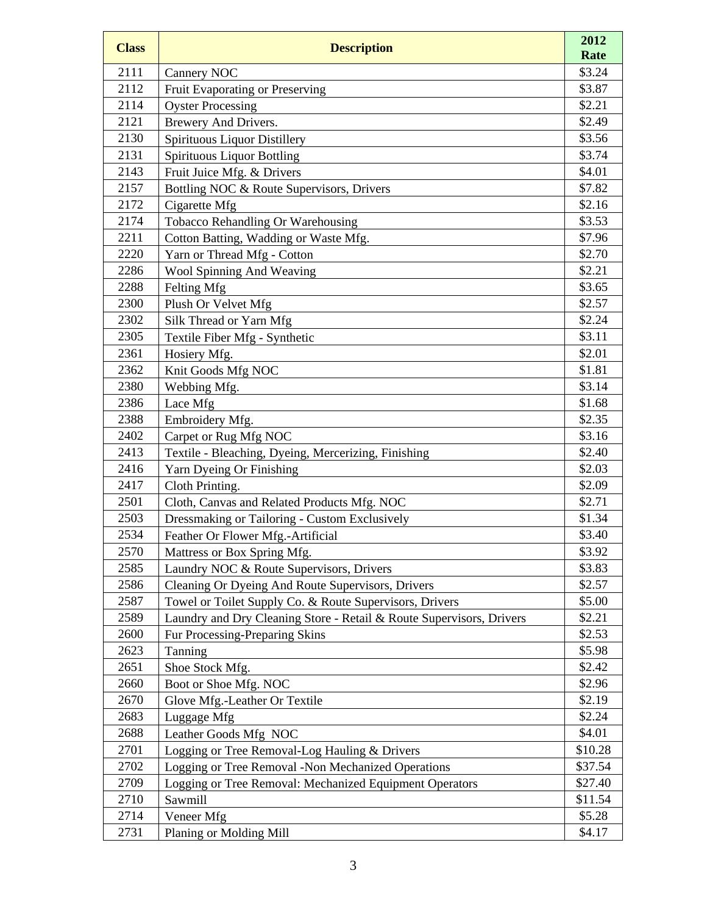| <b>Class</b> | <b>Description</b>                                                   | 2012<br>Rate |
|--------------|----------------------------------------------------------------------|--------------|
| 2111         | Cannery NOC                                                          | \$3.24       |
| 2112         | Fruit Evaporating or Preserving                                      | \$3.87       |
| 2114         | <b>Oyster Processing</b>                                             | \$2.21       |
| 2121         | Brewery And Drivers.                                                 | \$2.49       |
| 2130         | Spirituous Liquor Distillery                                         | \$3.56       |
| 2131         | <b>Spirituous Liquor Bottling</b>                                    | \$3.74       |
| 2143         | Fruit Juice Mfg. & Drivers                                           | \$4.01       |
| 2157         | Bottling NOC & Route Supervisors, Drivers                            | \$7.82       |
| 2172         | Cigarette Mfg                                                        | \$2.16       |
| 2174         | Tobacco Rehandling Or Warehousing                                    | \$3.53       |
| 2211         | Cotton Batting, Wadding or Waste Mfg.                                | \$7.96       |
| 2220         | Yarn or Thread Mfg - Cotton                                          | \$2.70       |
| 2286         | Wool Spinning And Weaving                                            | \$2.21       |
| 2288         | Felting Mfg                                                          | \$3.65       |
| 2300         | Plush Or Velvet Mfg                                                  | \$2.57       |
| 2302         | Silk Thread or Yarn Mfg                                              | \$2.24       |
| 2305         | Textile Fiber Mfg - Synthetic                                        | \$3.11       |
| 2361         | Hosiery Mfg.                                                         | \$2.01       |
| 2362         | Knit Goods Mfg NOC                                                   | \$1.81       |
| 2380         | Webbing Mfg.                                                         | \$3.14       |
| 2386         | Lace Mfg                                                             | \$1.68       |
| 2388         | Embroidery Mfg.                                                      | \$2.35       |
| 2402         | Carpet or Rug Mfg NOC                                                | \$3.16       |
| 2413         | Textile - Bleaching, Dyeing, Mercerizing, Finishing                  | \$2.40       |
| 2416         | Yarn Dyeing Or Finishing                                             | \$2.03       |
| 2417         | Cloth Printing.                                                      | \$2.09       |
| 2501         | Cloth, Canvas and Related Products Mfg. NOC                          | \$2.71       |
| 2503         | Dressmaking or Tailoring - Custom Exclusively                        | \$1.34       |
| 2534         | Feather Or Flower Mfg.-Artificial                                    | \$3.40       |
| 2570         | Mattress or Box Spring Mfg.                                          | \$3.92       |
| 2585         | Laundry NOC & Route Supervisors, Drivers                             | \$3.83       |
| 2586         | Cleaning Or Dyeing And Route Supervisors, Drivers                    | \$2.57       |
| 2587         | Towel or Toilet Supply Co. & Route Supervisors, Drivers              | \$5.00       |
| 2589         | Laundry and Dry Cleaning Store - Retail & Route Supervisors, Drivers | \$2.21       |
| 2600         | Fur Processing-Preparing Skins                                       | \$2.53       |
| 2623         | Tanning                                                              | \$5.98       |
| 2651         | Shoe Stock Mfg.                                                      | \$2.42       |
| 2660         | Boot or Shoe Mfg. NOC                                                | \$2.96       |
| 2670         | Glove Mfg.-Leather Or Textile                                        | \$2.19       |
| 2683         | Luggage Mfg                                                          | \$2.24       |
| 2688         | Leather Goods Mfg NOC                                                | \$4.01       |
| 2701         | Logging or Tree Removal-Log Hauling & Drivers                        | \$10.28      |
| 2702         | Logging or Tree Removal -Non Mechanized Operations                   | \$37.54      |
| 2709         | Logging or Tree Removal: Mechanized Equipment Operators              | \$27.40      |
| 2710         | Sawmill                                                              | \$11.54      |
| 2714         | Veneer Mfg                                                           | \$5.28       |
| 2731         | Planing or Molding Mill                                              | \$4.17       |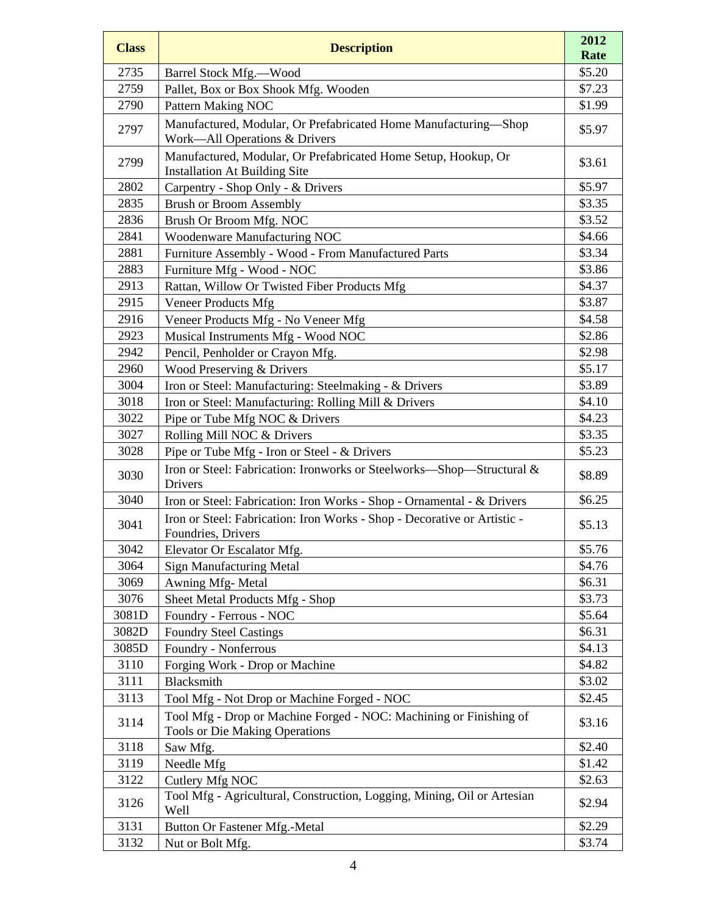| <b>Class</b> | <b>Description</b>                                                                                          | 2012<br>Rate |
|--------------|-------------------------------------------------------------------------------------------------------------|--------------|
| 2735         | Barrel Stock Mfg.—Wood                                                                                      | \$5.20       |
| 2759         | Pallet, Box or Box Shook Mfg. Wooden                                                                        | \$7.23       |
| 2790         | Pattern Making NOC                                                                                          | \$1.99       |
| 2797         | Manufactured, Modular, Or Prefabricated Home Manufacturing-Shop<br>Work-All Operations & Drivers            | \$5.97       |
| 2799         | Manufactured, Modular, Or Prefabricated Home Setup, Hookup, Or<br><b>Installation At Building Site</b>      | \$3.61       |
| 2802         | Carpentry - Shop Only - & Drivers                                                                           | \$5.97       |
| 2835         | <b>Brush or Broom Assembly</b>                                                                              | \$3.35       |
| 2836         | Brush Or Broom Mfg. NOC                                                                                     | \$3.52       |
| 2841         | Woodenware Manufacturing NOC                                                                                | \$4.66       |
| 2881         | Furniture Assembly - Wood - From Manufactured Parts                                                         | \$3.34       |
| 2883         | Furniture Mfg - Wood - NOC                                                                                  | \$3.86       |
| 2913         | Rattan, Willow Or Twisted Fiber Products Mfg                                                                | \$4.37       |
| 2915         | Veneer Products Mfg                                                                                         | \$3.87       |
| 2916         | Veneer Products Mfg - No Veneer Mfg                                                                         | \$4.58       |
| 2923         | Musical Instruments Mfg - Wood NOC                                                                          | \$2.86       |
| 2942         | Pencil, Penholder or Crayon Mfg.                                                                            | \$2.98       |
| 2960         | Wood Preserving & Drivers                                                                                   | \$5.17       |
| 3004         | Iron or Steel: Manufacturing: Steelmaking - & Drivers                                                       | \$3.89       |
| 3018         | Iron or Steel: Manufacturing: Rolling Mill & Drivers                                                        | \$4.10       |
| 3022         | Pipe or Tube Mfg NOC & Drivers                                                                              | \$4.23       |
| 3027         | Rolling Mill NOC & Drivers                                                                                  | \$3.35       |
| 3028         | Pipe or Tube Mfg - Iron or Steel - & Drivers                                                                | \$5.23       |
| 3030         | Iron or Steel: Fabrication: Ironworks or Steelworks-Shop-Structural &<br>Drivers                            | \$8.89       |
| 3040         | Iron or Steel: Fabrication: Iron Works - Shop - Ornamental - & Drivers                                      | \$6.25       |
| 3041         | Iron or Steel: Fabrication: Iron Works - Shop - Decorative or Artistic -<br>Foundries, Drivers              | \$5.13       |
| 3042         | Elevator Or Escalator Mfg.                                                                                  | \$5.76       |
| 3064         | <b>Sign Manufacturing Metal</b>                                                                             | \$4.76       |
| 3069         | Awning Mfg-Metal                                                                                            | \$6.31       |
| 3076         | Sheet Metal Products Mfg - Shop                                                                             | \$3.73       |
| 3081D        | Foundry - Ferrous - NOC                                                                                     | \$5.64       |
| 3082D        | <b>Foundry Steel Castings</b>                                                                               | \$6.31       |
| 3085D        | Foundry - Nonferrous                                                                                        | \$4.13       |
| 3110         | Forging Work - Drop or Machine                                                                              | \$4.82       |
| 3111         | Blacksmith                                                                                                  | \$3.02       |
| 3113         | Tool Mfg - Not Drop or Machine Forged - NOC                                                                 | \$2.45       |
| 3114         | Tool Mfg - Drop or Machine Forged - NOC: Machining or Finishing of<br><b>Tools or Die Making Operations</b> | \$3.16       |
| 3118         | Saw Mfg.                                                                                                    | \$2.40       |
| 3119         | Needle Mfg                                                                                                  | \$1.42       |
| 3122         | Cutlery Mfg NOC                                                                                             | \$2.63       |
| 3126         | Tool Mfg - Agricultural, Construction, Logging, Mining, Oil or Artesian<br>Well                             | \$2.94       |
| 3131         | Button Or Fastener Mfg.-Metal                                                                               | \$2.29       |
| 3132         | Nut or Bolt Mfg.                                                                                            | \$3.74       |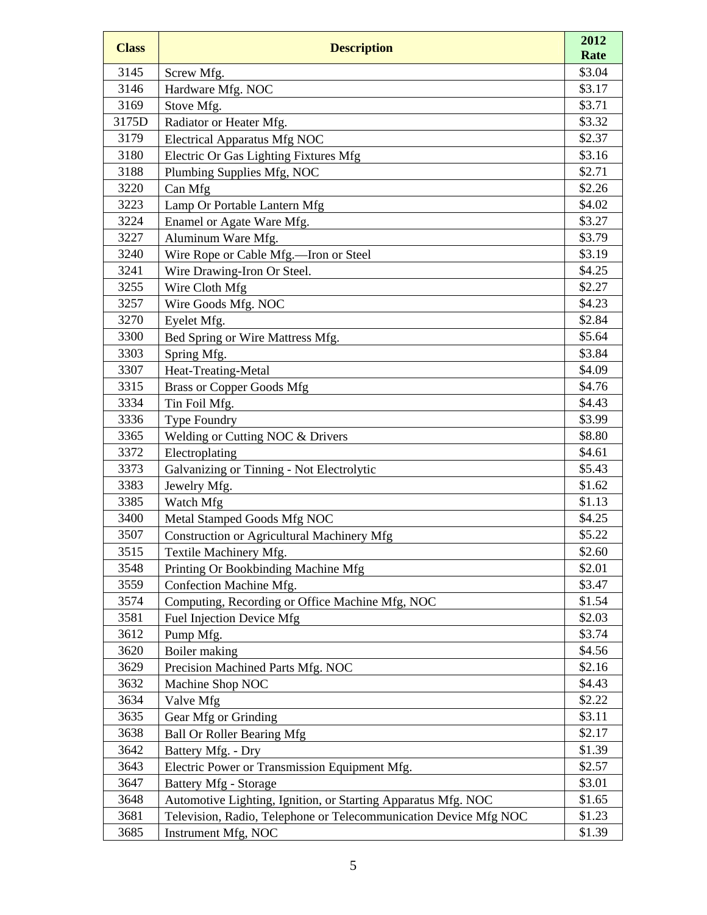| <b>Class</b> | <b>Description</b>                                               | 2012             |
|--------------|------------------------------------------------------------------|------------------|
|              |                                                                  | Rate             |
| 3145         | Screw Mfg.                                                       | \$3.04           |
| 3146         | Hardware Mfg. NOC                                                | \$3.17           |
| 3169         | Stove Mfg.                                                       | \$3.71           |
| 3175D        | Radiator or Heater Mfg.                                          | \$3.32           |
| 3179         | <b>Electrical Apparatus Mfg NOC</b>                              | \$2.37           |
| 3180         | Electric Or Gas Lighting Fixtures Mfg                            | \$3.16           |
| 3188<br>3220 | Plumbing Supplies Mfg, NOC                                       | \$2.71<br>\$2.26 |
|              | Can Mfg                                                          | \$4.02           |
| 3223<br>3224 | Lamp Or Portable Lantern Mfg                                     | \$3.27           |
| 3227         | Enamel or Agate Ware Mfg.                                        | \$3.79           |
| 3240         | Aluminum Ware Mfg.                                               | \$3.19           |
| 3241         | Wire Rope or Cable Mfg.-Iron or Steel                            | \$4.25           |
| 3255         | Wire Drawing-Iron Or Steel.<br>Wire Cloth Mfg                    | \$2.27           |
| 3257         | Wire Goods Mfg. NOC                                              | \$4.23           |
| 3270         | Eyelet Mfg.                                                      | \$2.84           |
| 3300         | Bed Spring or Wire Mattress Mfg.                                 | \$5.64           |
| 3303         | Spring Mfg.                                                      | \$3.84           |
| 3307         | Heat-Treating-Metal                                              | \$4.09           |
| 3315         | <b>Brass or Copper Goods Mfg</b>                                 | \$4.76           |
| 3334         | Tin Foil Mfg.                                                    | \$4.43           |
| 3336         | <b>Type Foundry</b>                                              | \$3.99           |
| 3365         | Welding or Cutting NOC & Drivers                                 | \$8.80           |
| 3372         | Electroplating                                                   | \$4.61           |
| 3373         | Galvanizing or Tinning - Not Electrolytic                        | \$5.43           |
| 3383         | Jewelry Mfg.                                                     | \$1.62           |
| 3385         | Watch Mfg                                                        | \$1.13           |
| 3400         | Metal Stamped Goods Mfg NOC                                      | \$4.25           |
| 3507         | Construction or Agricultural Machinery Mfg                       | \$5.22           |
| 3515         | Textile Machinery Mfg.                                           | \$2.60           |
| 3548         | Printing Or Bookbinding Machine Mfg                              | \$2.01           |
| 3559         | Confection Machine Mfg.                                          | \$3.47           |
| 3574         | Computing, Recording or Office Machine Mfg, NOC                  | \$1.54           |
| 3581         | Fuel Injection Device Mfg                                        | \$2.03           |
| 3612         | Pump Mfg.                                                        | \$3.74           |
| 3620         | Boiler making                                                    | \$4.56           |
| 3629         | Precision Machined Parts Mfg. NOC                                | \$2.16           |
| 3632         | Machine Shop NOC                                                 | \$4.43           |
| 3634         | Valve Mfg                                                        | \$2.22           |
| 3635         | Gear Mfg or Grinding                                             | \$3.11           |
| 3638         | <b>Ball Or Roller Bearing Mfg</b>                                | \$2.17           |
| 3642         | Battery Mfg. - Dry                                               | \$1.39           |
| 3643         | Electric Power or Transmission Equipment Mfg.                    | \$2.57           |
| 3647         | Battery Mfg - Storage                                            | \$3.01           |
| 3648         | Automotive Lighting, Ignition, or Starting Apparatus Mfg. NOC    | \$1.65           |
| 3681         | Television, Radio, Telephone or Telecommunication Device Mfg NOC | \$1.23           |
| 3685         | Instrument Mfg, NOC                                              | \$1.39           |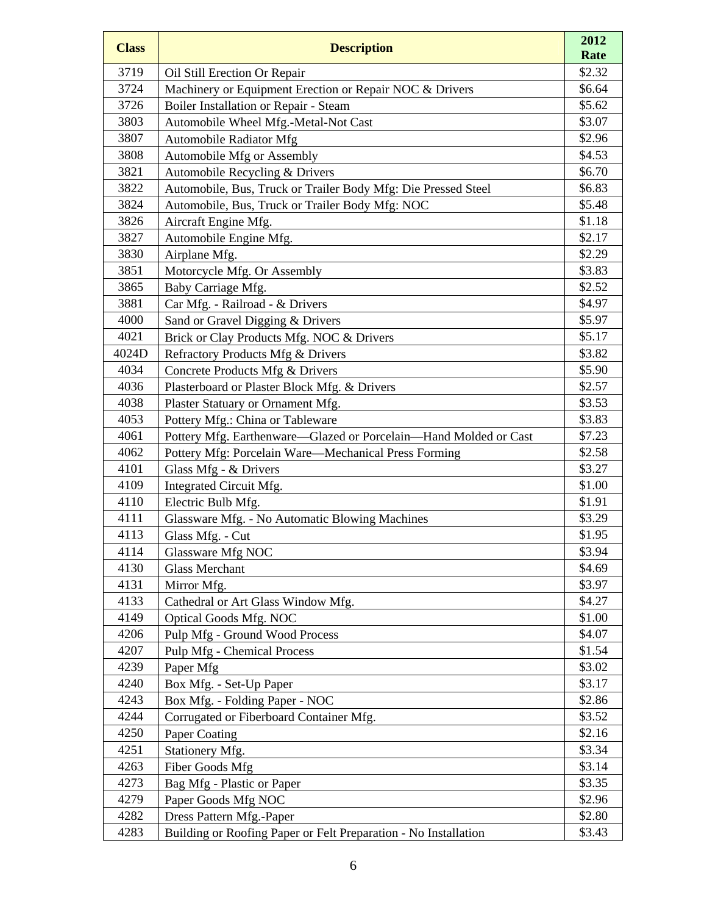| <b>Class</b> | <b>Description</b>                                               | 2012             |
|--------------|------------------------------------------------------------------|------------------|
|              |                                                                  | Rate             |
| 3719<br>3724 | Oil Still Erection Or Repair                                     | \$2.32<br>\$6.64 |
| 3726         | Machinery or Equipment Erection or Repair NOC & Drivers          | \$5.62           |
| 3803         | Boiler Installation or Repair - Steam                            | \$3.07           |
| 3807         | Automobile Wheel Mfg.-Metal-Not Cast<br>Automobile Radiator Mfg  | \$2.96           |
| 3808         | Automobile Mfg or Assembly                                       | \$4.53           |
| 3821         | Automobile Recycling & Drivers                                   | \$6.70           |
| 3822         | Automobile, Bus, Truck or Trailer Body Mfg: Die Pressed Steel    | \$6.83           |
| 3824         | Automobile, Bus, Truck or Trailer Body Mfg: NOC                  | \$5.48           |
| 3826         | Aircraft Engine Mfg.                                             | \$1.18           |
| 3827         | Automobile Engine Mfg.                                           | \$2.17           |
| 3830         | Airplane Mfg.                                                    | \$2.29           |
| 3851         | Motorcycle Mfg. Or Assembly                                      | \$3.83           |
| 3865         | Baby Carriage Mfg.                                               | \$2.52           |
| 3881         | Car Mfg. - Railroad - & Drivers                                  | \$4.97           |
| 4000         | Sand or Gravel Digging & Drivers                                 | \$5.97           |
| 4021         | Brick or Clay Products Mfg. NOC & Drivers                        | \$5.17           |
| 4024D        | Refractory Products Mfg & Drivers                                | \$3.82           |
| 4034         | Concrete Products Mfg & Drivers                                  | \$5.90           |
| 4036         | Plasterboard or Plaster Block Mfg. & Drivers                     | \$2.57           |
| 4038         | Plaster Statuary or Ornament Mfg.                                | \$3.53           |
| 4053         | Pottery Mfg.: China or Tableware                                 | \$3.83           |
| 4061         | Pottery Mfg. Earthenware-Glazed or Porcelain-Hand Molded or Cast | \$7.23           |
| 4062         | Pottery Mfg: Porcelain Ware—Mechanical Press Forming             | \$2.58           |
| 4101         | Glass Mfg - & Drivers                                            | \$3.27           |
| 4109         | Integrated Circuit Mfg.                                          | \$1.00           |
| 4110         | Electric Bulb Mfg.                                               | \$1.91           |
| 4111         | Glassware Mfg. - No Automatic Blowing Machines                   | \$3.29           |
| 4113         | Glass Mfg. - Cut                                                 | \$1.95           |
| 4114         | Glassware Mfg NOC                                                | \$3.94           |
| 4130         | <b>Glass Merchant</b>                                            | \$4.69           |
| 4131         | Mirror Mfg.                                                      | \$3.97           |
| 4133         | Cathedral or Art Glass Window Mfg.                               | \$4.27           |
| 4149         | <b>Optical Goods Mfg. NOC</b>                                    | \$1.00           |
| 4206         | Pulp Mfg - Ground Wood Process                                   | \$4.07           |
| 4207         | <b>Pulp Mfg - Chemical Process</b>                               | \$1.54           |
| 4239         | Paper Mfg                                                        | \$3.02           |
| 4240         | Box Mfg. - Set-Up Paper                                          | \$3.17           |
| 4243         | Box Mfg. - Folding Paper - NOC                                   | \$2.86           |
| 4244         | Corrugated or Fiberboard Container Mfg.                          | \$3.52           |
| 4250         | Paper Coating                                                    | \$2.16           |
| 4251         | Stationery Mfg.                                                  | \$3.34           |
| 4263         | Fiber Goods Mfg                                                  | \$3.14           |
| 4273         | Bag Mfg - Plastic or Paper                                       | \$3.35           |
| 4279         | Paper Goods Mfg NOC                                              | \$2.96           |
| 4282         | Dress Pattern Mfg.-Paper                                         | \$2.80           |
| 4283         | Building or Roofing Paper or Felt Preparation - No Installation  | \$3.43           |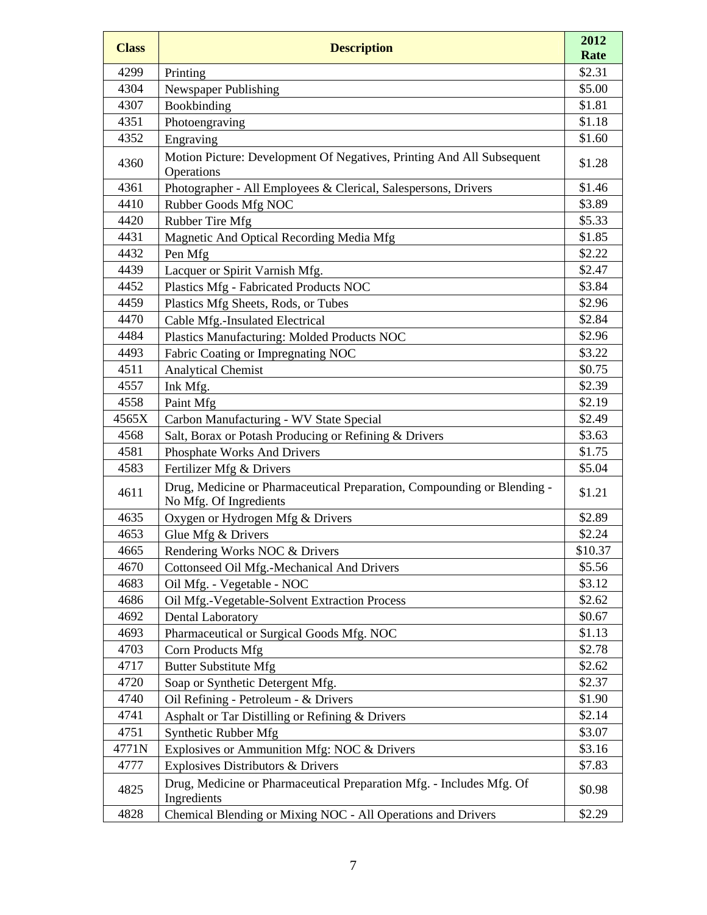| <b>Class</b> | <b>Description</b>                                                                                | 2012<br>Rate |
|--------------|---------------------------------------------------------------------------------------------------|--------------|
| 4299         | Printing                                                                                          | \$2.31       |
| 4304         | Newspaper Publishing                                                                              | \$5.00       |
| 4307         | Bookbinding                                                                                       | \$1.81       |
| 4351         | Photoengraving                                                                                    | \$1.18       |
| 4352         | Engraving                                                                                         | \$1.60       |
| 4360         | Motion Picture: Development Of Negatives, Printing And All Subsequent<br>Operations               | \$1.28       |
| 4361         | Photographer - All Employees & Clerical, Salespersons, Drivers                                    | \$1.46       |
| 4410         | Rubber Goods Mfg NOC                                                                              | \$3.89       |
| 4420         | Rubber Tire Mfg                                                                                   | \$5.33       |
| 4431         | Magnetic And Optical Recording Media Mfg                                                          | \$1.85       |
| 4432         | Pen Mfg                                                                                           | \$2.22       |
| 4439         | Lacquer or Spirit Varnish Mfg.                                                                    | \$2.47       |
| 4452         | Plastics Mfg - Fabricated Products NOC                                                            | \$3.84       |
| 4459         | Plastics Mfg Sheets, Rods, or Tubes                                                               | \$2.96       |
| 4470         | Cable Mfg.-Insulated Electrical                                                                   | \$2.84       |
| 4484         | Plastics Manufacturing: Molded Products NOC                                                       | \$2.96       |
| 4493         | Fabric Coating or Impregnating NOC                                                                | \$3.22       |
| 4511         | <b>Analytical Chemist</b>                                                                         | \$0.75       |
| 4557         | Ink Mfg.                                                                                          | \$2.39       |
| 4558         | Paint Mfg                                                                                         | \$2.19       |
| 4565X        | Carbon Manufacturing - WV State Special                                                           | \$2.49       |
| 4568         | Salt, Borax or Potash Producing or Refining & Drivers                                             | \$3.63       |
| 4581         | Phosphate Works And Drivers                                                                       | \$1.75       |
| 4583         | Fertilizer Mfg & Drivers                                                                          | \$5.04       |
| 4611         | Drug, Medicine or Pharmaceutical Preparation, Compounding or Blending -<br>No Mfg. Of Ingredients | \$1.21       |
| 4635         | Oxygen or Hydrogen Mfg & Drivers                                                                  | \$2.89       |
| 4653         | Glue Mfg & Drivers                                                                                | \$2.24       |
| 4665         | Rendering Works NOC & Drivers                                                                     | \$10.37      |
| 4670         | Cottonseed Oil Mfg.-Mechanical And Drivers                                                        | \$5.56       |
| 4683         | Oil Mfg. - Vegetable - NOC                                                                        | \$3.12       |
| 4686         | Oil Mfg.-Vegetable-Solvent Extraction Process                                                     | \$2.62       |
| 4692         | <b>Dental Laboratory</b>                                                                          | \$0.67       |
| 4693         | Pharmaceutical or Surgical Goods Mfg. NOC                                                         | \$1.13       |
| 4703         | Corn Products Mfg                                                                                 | \$2.78       |
| 4717         | <b>Butter Substitute Mfg</b>                                                                      | \$2.62       |
| 4720         | Soap or Synthetic Detergent Mfg.                                                                  | \$2.37       |
| 4740         | Oil Refining - Petroleum - & Drivers                                                              | \$1.90       |
| 4741         | Asphalt or Tar Distilling or Refining & Drivers                                                   | \$2.14       |
| 4751         | Synthetic Rubber Mfg                                                                              | \$3.07       |
| 4771N        | Explosives or Ammunition Mfg: NOC & Drivers                                                       | \$3.16       |
| 4777         | Explosives Distributors & Drivers                                                                 | \$7.83       |
| 4825         | Drug, Medicine or Pharmaceutical Preparation Mfg. - Includes Mfg. Of<br>Ingredients               | \$0.98       |
| 4828         | Chemical Blending or Mixing NOC - All Operations and Drivers                                      | \$2.29       |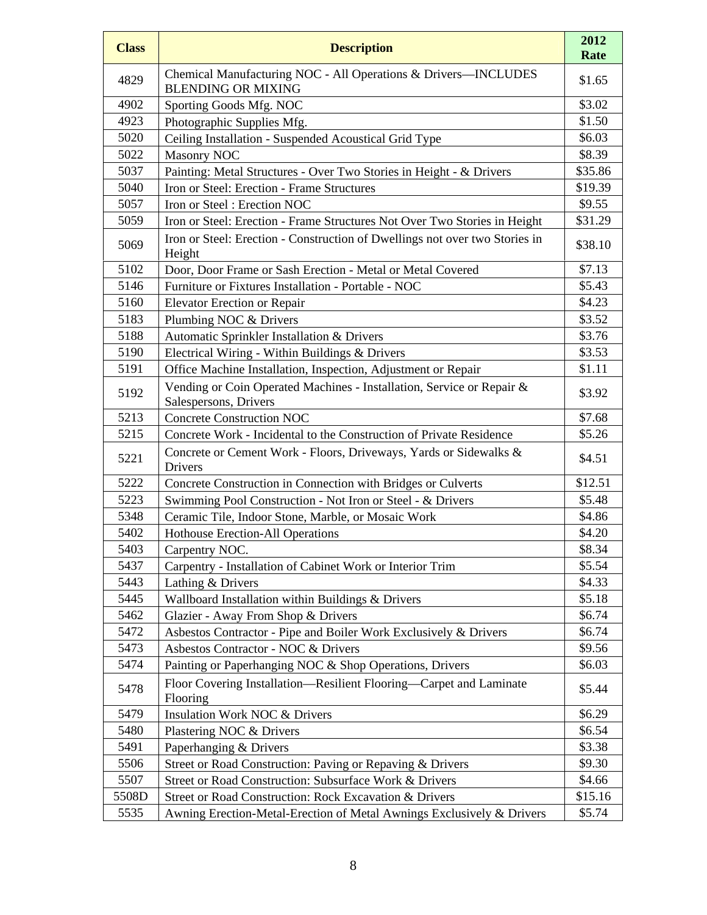| <b>Class</b> | <b>Description</b>                                                                             | 2012<br>Rate |
|--------------|------------------------------------------------------------------------------------------------|--------------|
| 4829         | Chemical Manufacturing NOC - All Operations & Drivers-INCLUDES<br><b>BLENDING OR MIXING</b>    | \$1.65       |
| 4902         | Sporting Goods Mfg. NOC                                                                        | \$3.02       |
| 4923         | Photographic Supplies Mfg.                                                                     | \$1.50       |
| 5020         | Ceiling Installation - Suspended Acoustical Grid Type                                          | \$6.03       |
| 5022         | <b>Masonry NOC</b>                                                                             | \$8.39       |
| 5037         | Painting: Metal Structures - Over Two Stories in Height - & Drivers                            | \$35.86      |
| 5040         | Iron or Steel: Erection - Frame Structures                                                     | \$19.39      |
| 5057         | Iron or Steel: Erection NOC                                                                    | \$9.55       |
| 5059         | Iron or Steel: Erection - Frame Structures Not Over Two Stories in Height                      | \$31.29      |
| 5069         | Iron or Steel: Erection - Construction of Dwellings not over two Stories in<br>Height          | \$38.10      |
| 5102         | Door, Door Frame or Sash Erection - Metal or Metal Covered                                     | \$7.13       |
| 5146         | Furniture or Fixtures Installation - Portable - NOC                                            | \$5.43       |
| 5160         | <b>Elevator Erection or Repair</b>                                                             | \$4.23       |
| 5183         | Plumbing NOC & Drivers                                                                         | \$3.52       |
| 5188         | Automatic Sprinkler Installation & Drivers                                                     | \$3.76       |
| 5190         | Electrical Wiring - Within Buildings & Drivers                                                 | \$3.53       |
| 5191         | Office Machine Installation, Inspection, Adjustment or Repair                                  | \$1.11       |
| 5192         | Vending or Coin Operated Machines - Installation, Service or Repair &<br>Salespersons, Drivers | \$3.92       |
| 5213         | <b>Concrete Construction NOC</b>                                                               | \$7.68       |
| 5215         | Concrete Work - Incidental to the Construction of Private Residence                            | \$5.26       |
| 5221         | Concrete or Cement Work - Floors, Driveways, Yards or Sidewalks &<br>Drivers                   | \$4.51       |
| 5222         | Concrete Construction in Connection with Bridges or Culverts                                   | \$12.51      |
| 5223         | Swimming Pool Construction - Not Iron or Steel - & Drivers                                     | \$5.48       |
| 5348         | Ceramic Tile, Indoor Stone, Marble, or Mosaic Work                                             | \$4.86       |
| 5402         | Hothouse Erection-All Operations                                                               | \$4.20       |
| 5403         | Carpentry NOC.                                                                                 | \$8.34       |
| 5437         | Carpentry - Installation of Cabinet Work or Interior Trim                                      | \$5.54       |
| 5443         | Lathing & Drivers                                                                              | \$4.33       |
| 5445         | Wallboard Installation within Buildings & Drivers                                              | \$5.18       |
| 5462         | Glazier - Away From Shop & Drivers                                                             | \$6.74       |
| 5472         | Asbestos Contractor - Pipe and Boiler Work Exclusively & Drivers                               | \$6.74       |
| 5473         | Asbestos Contractor - NOC & Drivers                                                            | \$9.56       |
| 5474         | Painting or Paperhanging NOC & Shop Operations, Drivers                                        | \$6.03       |
| 5478         | Floor Covering Installation—Resilient Flooring—Carpet and Laminate<br>Flooring                 | \$5.44       |
| 5479         | Insulation Work NOC & Drivers                                                                  | \$6.29       |
| 5480         | Plastering NOC & Drivers                                                                       | \$6.54       |
| 5491         | Paperhanging & Drivers                                                                         | \$3.38       |
| 5506         | Street or Road Construction: Paving or Repaving & Drivers                                      | \$9.30       |
| 5507         | Street or Road Construction: Subsurface Work & Drivers                                         | \$4.66       |
| 5508D        | Street or Road Construction: Rock Excavation & Drivers                                         | \$15.16      |
| 5535         | Awning Erection-Metal-Erection of Metal Awnings Exclusively & Drivers                          | \$5.74       |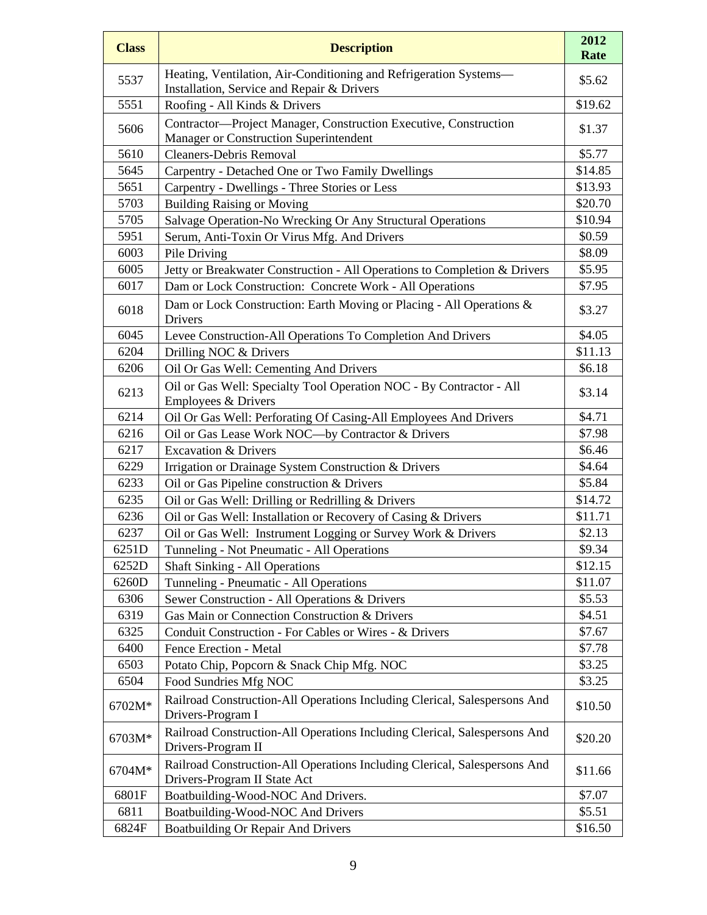| <b>Class</b> | <b>Description</b>                                                                                              | 2012<br>Rate |
|--------------|-----------------------------------------------------------------------------------------------------------------|--------------|
| 5537         | Heating, Ventilation, Air-Conditioning and Refrigeration Systems-<br>Installation, Service and Repair & Drivers | \$5.62       |
| 5551         | Roofing - All Kinds & Drivers                                                                                   | \$19.62      |
| 5606         | Contractor-Project Manager, Construction Executive, Construction<br>Manager or Construction Superintendent      | \$1.37       |
| 5610         | <b>Cleaners-Debris Removal</b>                                                                                  | \$5.77       |
| 5645         | Carpentry - Detached One or Two Family Dwellings                                                                | \$14.85      |
| 5651         | Carpentry - Dwellings - Three Stories or Less                                                                   | \$13.93      |
| 5703         | <b>Building Raising or Moving</b>                                                                               | \$20.70      |
| 5705         | Salvage Operation-No Wrecking Or Any Structural Operations                                                      | \$10.94      |
| 5951         | Serum, Anti-Toxin Or Virus Mfg. And Drivers                                                                     | \$0.59       |
| 6003         | Pile Driving                                                                                                    | \$8.09       |
| 6005         | Jetty or Breakwater Construction - All Operations to Completion & Drivers                                       | \$5.95       |
| 6017         | Dam or Lock Construction: Concrete Work - All Operations                                                        | \$7.95       |
| 6018         | Dam or Lock Construction: Earth Moving or Placing - All Operations &<br>Drivers                                 | \$3.27       |
| 6045         | Levee Construction-All Operations To Completion And Drivers                                                     | \$4.05       |
| 6204         | Drilling NOC & Drivers                                                                                          | \$11.13      |
| 6206         | Oil Or Gas Well: Cementing And Drivers                                                                          | \$6.18       |
| 6213         | Oil or Gas Well: Specialty Tool Operation NOC - By Contractor - All<br>Employees & Drivers                      | \$3.14       |
| 6214         | Oil Or Gas Well: Perforating Of Casing-All Employees And Drivers                                                | \$4.71       |
| 6216         | Oil or Gas Lease Work NOC-by Contractor & Drivers                                                               | \$7.98       |
| 6217         | <b>Excavation &amp; Drivers</b>                                                                                 | \$6.46       |
| 6229         | Irrigation or Drainage System Construction & Drivers                                                            | \$4.64       |
| 6233         | Oil or Gas Pipeline construction & Drivers                                                                      | \$5.84       |
| 6235         | Oil or Gas Well: Drilling or Redrilling & Drivers                                                               | \$14.72      |
| 6236         | Oil or Gas Well: Installation or Recovery of Casing & Drivers                                                   | \$11.71      |
| 6237         | Oil or Gas Well: Instrument Logging or Survey Work & Drivers                                                    | \$2.13       |
| 6251D        | Tunneling - Not Pneumatic - All Operations                                                                      | \$9.34       |
| 6252D        | <b>Shaft Sinking - All Operations</b>                                                                           | \$12.15      |
| 6260D        | Tunneling - Pneumatic - All Operations                                                                          | \$11.07      |
| 6306         | Sewer Construction - All Operations & Drivers                                                                   | \$5.53       |
| 6319         | Gas Main or Connection Construction & Drivers                                                                   | \$4.51       |
| 6325         | Conduit Construction - For Cables or Wires - & Drivers                                                          | \$7.67       |
| 6400         | Fence Erection - Metal                                                                                          | \$7.78       |
| 6503         | Potato Chip, Popcorn & Snack Chip Mfg. NOC                                                                      | \$3.25       |
| 6504         | Food Sundries Mfg NOC                                                                                           | \$3.25       |
| 6702M*       | Railroad Construction-All Operations Including Clerical, Salespersons And<br>Drivers-Program I                  | \$10.50      |
| 6703M*       | Railroad Construction-All Operations Including Clerical, Salespersons And<br>Drivers-Program II                 | \$20.20      |
| 6704M*       | Railroad Construction-All Operations Including Clerical, Salespersons And<br>Drivers-Program II State Act       | \$11.66      |
| 6801F        | Boatbuilding-Wood-NOC And Drivers.                                                                              | \$7.07       |
| 6811         | Boatbuilding-Wood-NOC And Drivers                                                                               | \$5.51       |
| 6824F        | <b>Boatbuilding Or Repair And Drivers</b>                                                                       | \$16.50      |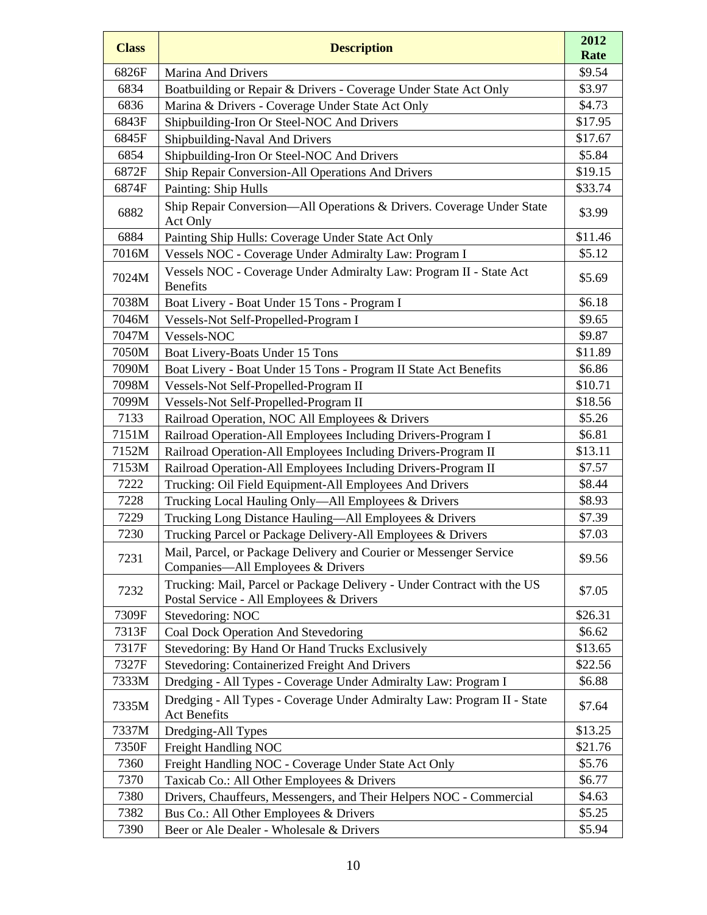| <b>Class</b> | <b>Description</b>                                                                                                  | 2012<br>Rate |
|--------------|---------------------------------------------------------------------------------------------------------------------|--------------|
| 6826F        | <b>Marina And Drivers</b>                                                                                           | \$9.54       |
| 6834         | Boatbuilding or Repair & Drivers - Coverage Under State Act Only                                                    | \$3.97       |
| 6836         | Marina & Drivers - Coverage Under State Act Only                                                                    | \$4.73       |
| 6843F        | Shipbuilding-Iron Or Steel-NOC And Drivers                                                                          | \$17.95      |
| 6845F        | Shipbuilding-Naval And Drivers                                                                                      | \$17.67      |
| 6854         | Shipbuilding-Iron Or Steel-NOC And Drivers                                                                          | \$5.84       |
| 6872F        | Ship Repair Conversion-All Operations And Drivers                                                                   | \$19.15      |
| 6874F        | Painting: Ship Hulls                                                                                                | \$33.74      |
| 6882         | Ship Repair Conversion—All Operations & Drivers. Coverage Under State<br>Act Only                                   | \$3.99       |
| 6884         | Painting Ship Hulls: Coverage Under State Act Only                                                                  | \$11.46      |
| 7016M        | Vessels NOC - Coverage Under Admiralty Law: Program I                                                               | \$5.12       |
| 7024M        | Vessels NOC - Coverage Under Admiralty Law: Program II - State Act<br><b>Benefits</b>                               | \$5.69       |
| 7038M        | Boat Livery - Boat Under 15 Tons - Program I                                                                        | \$6.18       |
| 7046M        | Vessels-Not Self-Propelled-Program I                                                                                | \$9.65       |
| 7047M        | Vessels-NOC                                                                                                         | \$9.87       |
| 7050M        | Boat Livery-Boats Under 15 Tons                                                                                     | \$11.89      |
| 7090M        | Boat Livery - Boat Under 15 Tons - Program II State Act Benefits                                                    | \$6.86       |
| 7098M        | Vessels-Not Self-Propelled-Program II                                                                               | \$10.71      |
| 7099M        | Vessels-Not Self-Propelled-Program II                                                                               | \$18.56      |
| 7133         | Railroad Operation, NOC All Employees & Drivers                                                                     | \$5.26       |
| 7151M        | Railroad Operation-All Employees Including Drivers-Program I                                                        | \$6.81       |
| 7152M        | Railroad Operation-All Employees Including Drivers-Program II                                                       | \$13.11      |
| 7153M        | Railroad Operation-All Employees Including Drivers-Program II                                                       | \$7.57       |
| 7222         | Trucking: Oil Field Equipment-All Employees And Drivers                                                             | \$8.44       |
| 7228         | Trucking Local Hauling Only—All Employees & Drivers                                                                 | \$8.93       |
| 7229         | Trucking Long Distance Hauling-All Employees & Drivers                                                              | \$7.39       |
| 7230         | Trucking Parcel or Package Delivery-All Employees & Drivers                                                         | \$7.03       |
| 7231         | Mail, Parcel, or Package Delivery and Courier or Messenger Service<br>Companies—All Employees & Drivers             | \$9.56       |
| 7232         | Trucking: Mail, Parcel or Package Delivery - Under Contract with the US<br>Postal Service - All Employees & Drivers | \$7.05       |
| 7309F        | Stevedoring: NOC                                                                                                    | \$26.31      |
| 7313F        | Coal Dock Operation And Stevedoring                                                                                 | \$6.62       |
| 7317F        | Stevedoring: By Hand Or Hand Trucks Exclusively                                                                     | \$13.65      |
| 7327F        | Stevedoring: Containerized Freight And Drivers                                                                      | \$22.56      |
| 7333M        | Dredging - All Types - Coverage Under Admiralty Law: Program I                                                      | \$6.88       |
| 7335M        | Dredging - All Types - Coverage Under Admiralty Law: Program II - State<br><b>Act Benefits</b>                      | \$7.64       |
| 7337M        | Dredging-All Types                                                                                                  | \$13.25      |
| 7350F        | Freight Handling NOC                                                                                                | \$21.76      |
| 7360         | Freight Handling NOC - Coverage Under State Act Only                                                                | \$5.76       |
| 7370         | Taxicab Co.: All Other Employees & Drivers                                                                          | \$6.77       |
| 7380         | Drivers, Chauffeurs, Messengers, and Their Helpers NOC - Commercial                                                 | \$4.63       |
| 7382         | Bus Co.: All Other Employees & Drivers                                                                              | \$5.25       |
| 7390         | Beer or Ale Dealer - Wholesale & Drivers                                                                            | \$5.94       |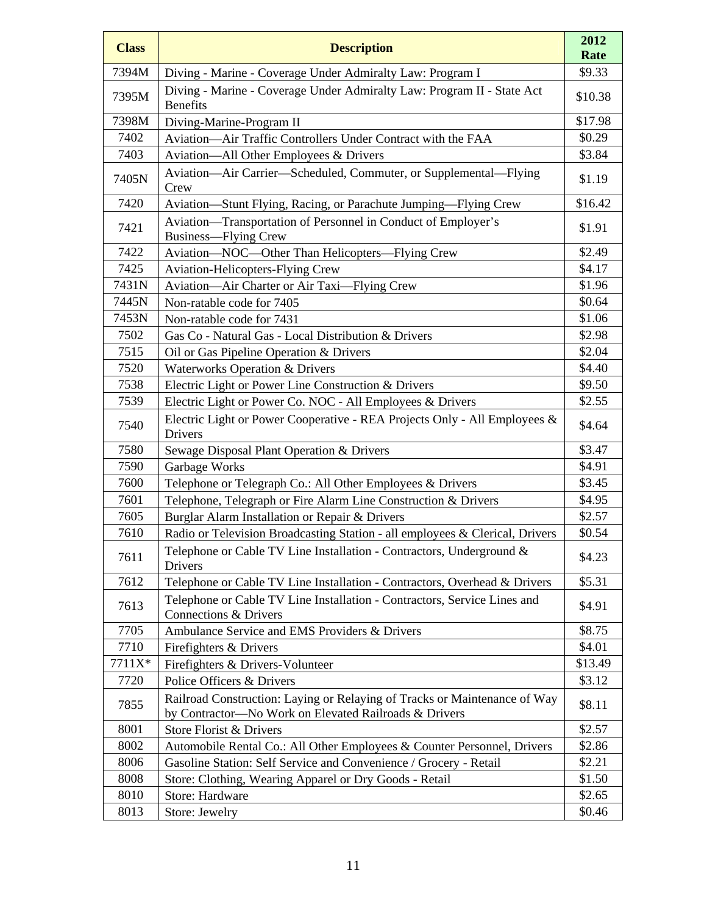| <b>Class</b> | <b>Description</b>                                                                                                                 | 2012<br>Rate |
|--------------|------------------------------------------------------------------------------------------------------------------------------------|--------------|
| 7394M        | Diving - Marine - Coverage Under Admiralty Law: Program I                                                                          | \$9.33       |
| 7395M        | Diving - Marine - Coverage Under Admiralty Law: Program II - State Act<br><b>Benefits</b>                                          | \$10.38      |
| 7398M        | Diving-Marine-Program II                                                                                                           | \$17.98      |
| 7402         | Aviation-Air Traffic Controllers Under Contract with the FAA                                                                       | \$0.29       |
| 7403         | Aviation—All Other Employees & Drivers                                                                                             | \$3.84       |
| 7405N        | Aviation-Air Carrier-Scheduled, Commuter, or Supplemental-Flying<br>Crew                                                           | \$1.19       |
| 7420         | Aviation-Stunt Flying, Racing, or Parachute Jumping-Flying Crew                                                                    | \$16.42      |
| 7421         | Aviation-Transportation of Personnel in Conduct of Employer's<br><b>Business—Flying Crew</b>                                       | \$1.91       |
| 7422         | Aviation-NOC-Other Than Helicopters-Flying Crew                                                                                    | \$2.49       |
| 7425         | <b>Aviation-Helicopters-Flying Crew</b>                                                                                            | \$4.17       |
| 7431N        | Aviation-Air Charter or Air Taxi-Flying Crew                                                                                       | \$1.96       |
| 7445N        | Non-ratable code for 7405                                                                                                          | \$0.64       |
| 7453N        | Non-ratable code for 7431                                                                                                          | \$1.06       |
| 7502         | Gas Co - Natural Gas - Local Distribution & Drivers                                                                                | \$2.98       |
| 7515         | Oil or Gas Pipeline Operation & Drivers                                                                                            | \$2.04       |
| 7520         | <b>Waterworks Operation &amp; Drivers</b>                                                                                          | \$4.40       |
| 7538         | Electric Light or Power Line Construction & Drivers                                                                                | \$9.50       |
| 7539         | Electric Light or Power Co. NOC - All Employees & Drivers                                                                          | \$2.55       |
| 7540         | Electric Light or Power Cooperative - REA Projects Only - All Employees &<br>Drivers                                               | \$4.64       |
| 7580         | Sewage Disposal Plant Operation & Drivers                                                                                          | \$3.47       |
| 7590         | Garbage Works                                                                                                                      | \$4.91       |
| 7600         | Telephone or Telegraph Co.: All Other Employees & Drivers                                                                          | \$3.45       |
| 7601         | Telephone, Telegraph or Fire Alarm Line Construction & Drivers                                                                     | \$4.95       |
| 7605         | Burglar Alarm Installation or Repair & Drivers                                                                                     | \$2.57       |
| 7610         | Radio or Television Broadcasting Station - all employees & Clerical, Drivers                                                       | \$0.54       |
| 7611         | Telephone or Cable TV Line Installation - Contractors, Underground $\&$<br>Drivers                                                 | \$4.23       |
| 7612         | Telephone or Cable TV Line Installation - Contractors, Overhead & Drivers                                                          | \$5.31       |
| 7613         | Telephone or Cable TV Line Installation - Contractors, Service Lines and<br>Connections & Drivers                                  | \$4.91       |
| 7705         | Ambulance Service and EMS Providers & Drivers                                                                                      | \$8.75       |
| 7710         | Firefighters & Drivers                                                                                                             | \$4.01       |
| 7711X*       | Firefighters & Drivers-Volunteer                                                                                                   | \$13.49      |
| 7720         | Police Officers & Drivers                                                                                                          | \$3.12       |
| 7855         | Railroad Construction: Laying or Relaying of Tracks or Maintenance of Way<br>by Contractor-No Work on Elevated Railroads & Drivers | \$8.11       |
| 8001         | Store Florist & Drivers                                                                                                            | \$2.57       |
| 8002         | Automobile Rental Co.: All Other Employees & Counter Personnel, Drivers                                                            | \$2.86       |
| 8006         | Gasoline Station: Self Service and Convenience / Grocery - Retail                                                                  | \$2.21       |
| 8008         | Store: Clothing, Wearing Apparel or Dry Goods - Retail                                                                             | \$1.50       |
| 8010         | Store: Hardware                                                                                                                    | \$2.65       |
| 8013         | Store: Jewelry                                                                                                                     | \$0.46       |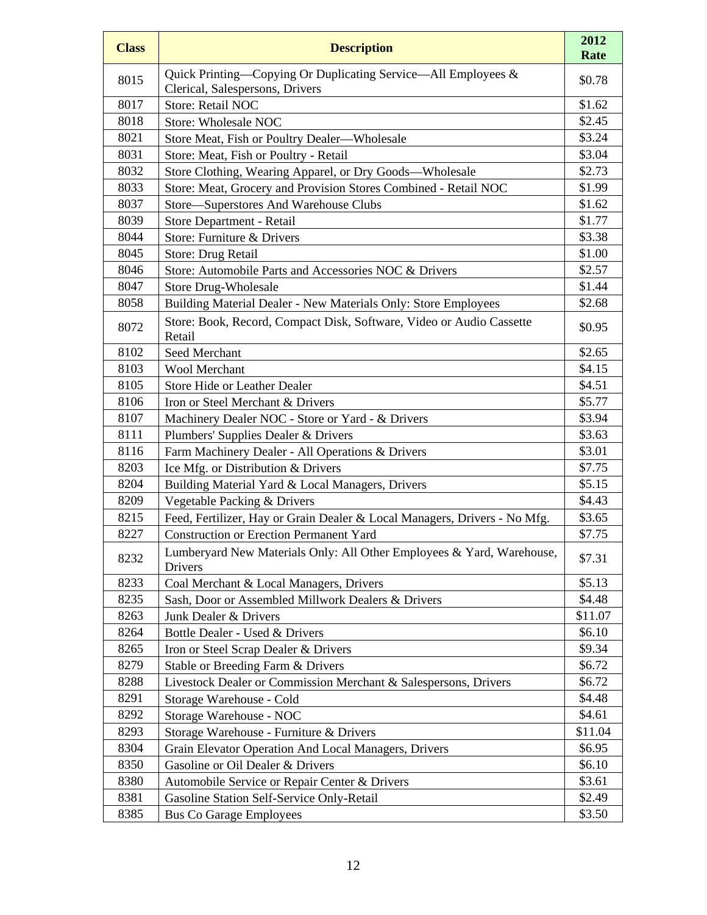| <b>Class</b> | <b>Description</b>                                                                               | 2012<br>Rate |
|--------------|--------------------------------------------------------------------------------------------------|--------------|
| 8015         | Quick Printing-Copying Or Duplicating Service-All Employees &<br>Clerical, Salespersons, Drivers | \$0.78       |
| 8017         | Store: Retail NOC                                                                                | \$1.62       |
| 8018         | Store: Wholesale NOC                                                                             | \$2.45       |
| 8021         | Store Meat, Fish or Poultry Dealer-Wholesale                                                     | \$3.24       |
| 8031         | Store: Meat, Fish or Poultry - Retail                                                            | \$3.04       |
| 8032         | Store Clothing, Wearing Apparel, or Dry Goods-Wholesale                                          | \$2.73       |
| 8033         | Store: Meat, Grocery and Provision Stores Combined - Retail NOC                                  | \$1.99       |
| 8037         | Store-Superstores And Warehouse Clubs                                                            | \$1.62       |
| 8039         | Store Department - Retail                                                                        | \$1.77       |
| 8044         | Store: Furniture & Drivers                                                                       | \$3.38       |
| 8045         | Store: Drug Retail                                                                               | \$1.00       |
| 8046         | Store: Automobile Parts and Accessories NOC & Drivers                                            | \$2.57       |
| 8047         | <b>Store Drug-Wholesale</b>                                                                      | \$1.44       |
| 8058         | Building Material Dealer - New Materials Only: Store Employees                                   | \$2.68       |
| 8072         | Store: Book, Record, Compact Disk, Software, Video or Audio Cassette<br>Retail                   | \$0.95       |
| 8102         | Seed Merchant                                                                                    | \$2.65       |
| 8103         | Wool Merchant                                                                                    | \$4.15       |
| 8105         | <b>Store Hide or Leather Dealer</b>                                                              | \$4.51       |
| 8106         | Iron or Steel Merchant & Drivers                                                                 | \$5.77       |
| 8107         | Machinery Dealer NOC - Store or Yard - & Drivers                                                 | \$3.94       |
| 8111         | Plumbers' Supplies Dealer & Drivers                                                              | \$3.63       |
| 8116         | Farm Machinery Dealer - All Operations & Drivers                                                 | \$3.01       |
| 8203         | Ice Mfg. or Distribution & Drivers                                                               | \$7.75       |
| 8204         | Building Material Yard & Local Managers, Drivers                                                 | \$5.15       |
| 8209         | Vegetable Packing & Drivers                                                                      | \$4.43       |
| 8215         | Feed, Fertilizer, Hay or Grain Dealer & Local Managers, Drivers - No Mfg.                        | \$3.65       |
| 8227         | <b>Construction or Erection Permanent Yard</b>                                                   | \$7.75       |
| 8232         | Lumberyard New Materials Only: All Other Employees & Yard, Warehouse,<br>Drivers                 | \$7.31       |
| 8233         | Coal Merchant & Local Managers, Drivers                                                          | \$5.13       |
| 8235         | Sash, Door or Assembled Millwork Dealers & Drivers                                               | \$4.48       |
| 8263         | Junk Dealer & Drivers                                                                            | \$11.07      |
| 8264         | Bottle Dealer - Used & Drivers                                                                   | \$6.10       |
| 8265         | Iron or Steel Scrap Dealer & Drivers                                                             | \$9.34       |
| 8279         | Stable or Breeding Farm & Drivers                                                                | \$6.72       |
| 8288         | Livestock Dealer or Commission Merchant & Salespersons, Drivers                                  | \$6.72       |
| 8291         | Storage Warehouse - Cold                                                                         | \$4.48       |
| 8292         | Storage Warehouse - NOC                                                                          | \$4.61       |
| 8293         | Storage Warehouse - Furniture & Drivers                                                          | \$11.04      |
| 8304         | Grain Elevator Operation And Local Managers, Drivers                                             | \$6.95       |
| 8350         | Gasoline or Oil Dealer & Drivers                                                                 | \$6.10       |
| 8380         | Automobile Service or Repair Center & Drivers                                                    | \$3.61       |
| 8381         | Gasoline Station Self-Service Only-Retail                                                        | \$2.49       |
| 8385         | <b>Bus Co Garage Employees</b>                                                                   | \$3.50       |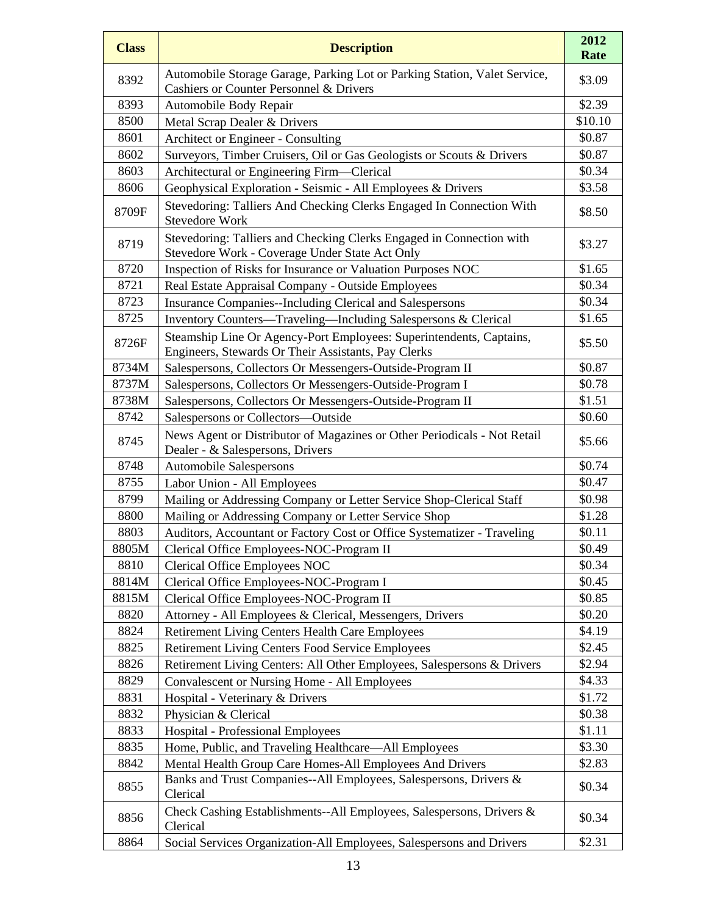| <b>Class</b> | <b>Description</b>                                                                                                         | 2012<br>Rate |
|--------------|----------------------------------------------------------------------------------------------------------------------------|--------------|
| 8392         | Automobile Storage Garage, Parking Lot or Parking Station, Valet Service,<br>Cashiers or Counter Personnel & Drivers       | \$3.09       |
| 8393         | Automobile Body Repair                                                                                                     | \$2.39       |
| 8500         | Metal Scrap Dealer & Drivers                                                                                               | \$10.10      |
| 8601         | Architect or Engineer - Consulting                                                                                         | \$0.87       |
| 8602         | Surveyors, Timber Cruisers, Oil or Gas Geologists or Scouts & Drivers                                                      | \$0.87       |
| 8603         | Architectural or Engineering Firm-Clerical                                                                                 | \$0.34       |
| 8606         | Geophysical Exploration - Seismic - All Employees & Drivers                                                                | \$3.58       |
| 8709F        | Stevedoring: Talliers And Checking Clerks Engaged In Connection With<br><b>Stevedore Work</b>                              | \$8.50       |
| 8719         | Stevedoring: Talliers and Checking Clerks Engaged in Connection with<br>Stevedore Work - Coverage Under State Act Only     | \$3.27       |
| 8720         | Inspection of Risks for Insurance or Valuation Purposes NOC                                                                | \$1.65       |
| 8721         | Real Estate Appraisal Company - Outside Employees                                                                          | \$0.34       |
| 8723         | <b>Insurance Companies--Including Clerical and Salespersons</b>                                                            | \$0.34       |
| 8725         | Inventory Counters—Traveling—Including Salespersons & Clerical                                                             | \$1.65       |
| 8726F        | Steamship Line Or Agency-Port Employees: Superintendents, Captains,<br>Engineers, Stewards Or Their Assistants, Pay Clerks | \$5.50       |
| 8734M        | Salespersons, Collectors Or Messengers-Outside-Program II                                                                  | \$0.87       |
| 8737M        | Salespersons, Collectors Or Messengers-Outside-Program I                                                                   | \$0.78       |
| 8738M        | Salespersons, Collectors Or Messengers-Outside-Program II                                                                  | \$1.51       |
| 8742         | Salespersons or Collectors-Outside                                                                                         | \$0.60       |
| 8745         | News Agent or Distributor of Magazines or Other Periodicals - Not Retail<br>Dealer - & Salespersons, Drivers               | \$5.66       |
| 8748         | <b>Automobile Salespersons</b>                                                                                             | \$0.74       |
| 8755         | Labor Union - All Employees                                                                                                | \$0.47       |
| 8799         | Mailing or Addressing Company or Letter Service Shop-Clerical Staff                                                        | \$0.98       |
| 8800         | Mailing or Addressing Company or Letter Service Shop                                                                       | \$1.28       |
| 8803         | Auditors, Accountant or Factory Cost or Office Systematizer - Traveling                                                    | \$0.11       |
| 8805M        | Clerical Office Employees-NOC-Program II                                                                                   | \$0.49       |
| 8810         | <b>Clerical Office Employees NOC</b>                                                                                       | \$0.34       |
| 8814M        | Clerical Office Employees-NOC-Program I                                                                                    | \$0.45       |
| 8815M        | Clerical Office Employees-NOC-Program II                                                                                   | \$0.85       |
| 8820         | Attorney - All Employees & Clerical, Messengers, Drivers                                                                   | \$0.20       |
| 8824         | <b>Retirement Living Centers Health Care Employees</b>                                                                     | \$4.19       |
| 8825         | <b>Retirement Living Centers Food Service Employees</b>                                                                    | \$2.45       |
| 8826         | Retirement Living Centers: All Other Employees, Salespersons & Drivers                                                     | \$2.94       |
| 8829         | Convalescent or Nursing Home - All Employees                                                                               | \$4.33       |
| 8831         | Hospital - Veterinary & Drivers                                                                                            | \$1.72       |
| 8832         | Physician & Clerical                                                                                                       | \$0.38       |
| 8833         | <b>Hospital - Professional Employees</b>                                                                                   | \$1.11       |
| 8835         | Home, Public, and Traveling Healthcare—All Employees                                                                       | \$3.30       |
| 8842         | Mental Health Group Care Homes-All Employees And Drivers                                                                   | \$2.83       |
| 8855         | Banks and Trust Companies--All Employees, Salespersons, Drivers &<br>Clerical                                              | \$0.34       |
| 8856         | Check Cashing Establishments--All Employees, Salespersons, Drivers &<br>Clerical                                           | \$0.34       |
| 8864         | Social Services Organization-All Employees, Salespersons and Drivers                                                       | \$2.31       |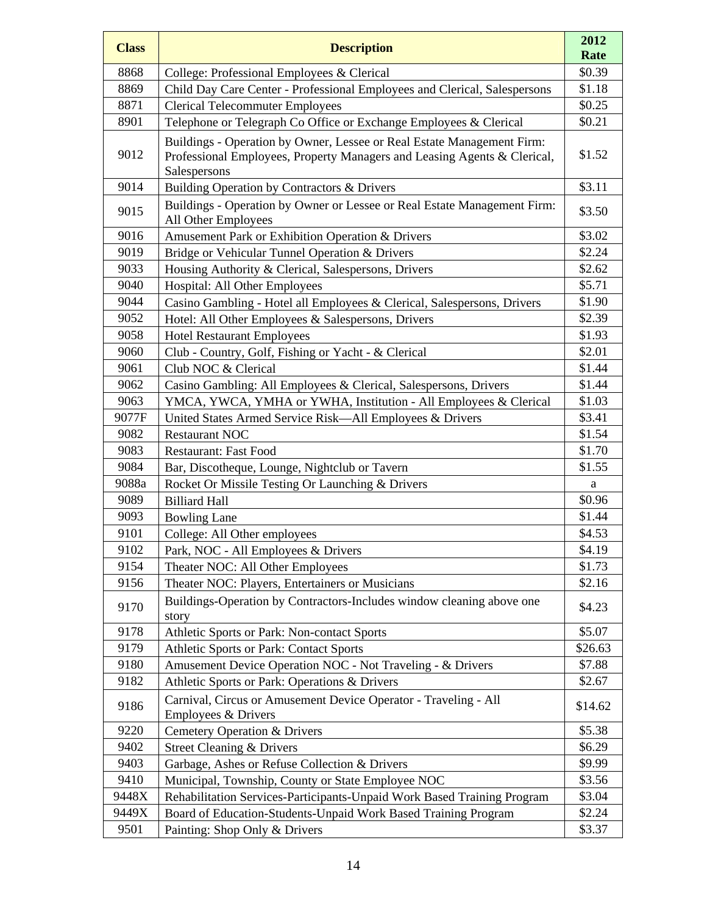| <b>Class</b> | <b>Description</b>                                                                                                                                                 | 2012<br>Rate |
|--------------|--------------------------------------------------------------------------------------------------------------------------------------------------------------------|--------------|
| 8868         | College: Professional Employees & Clerical                                                                                                                         | \$0.39       |
| 8869         | Child Day Care Center - Professional Employees and Clerical, Salespersons                                                                                          | \$1.18       |
| 8871         | <b>Clerical Telecommuter Employees</b>                                                                                                                             | \$0.25       |
| 8901         | Telephone or Telegraph Co Office or Exchange Employees & Clerical                                                                                                  | \$0.21       |
| 9012         | Buildings - Operation by Owner, Lessee or Real Estate Management Firm:<br>Professional Employees, Property Managers and Leasing Agents & Clerical,<br>Salespersons | \$1.52       |
| 9014         | Building Operation by Contractors & Drivers                                                                                                                        | \$3.11       |
| 9015         | Buildings - Operation by Owner or Lessee or Real Estate Management Firm:<br>All Other Employees                                                                    | \$3.50       |
| 9016         | Amusement Park or Exhibition Operation & Drivers                                                                                                                   | \$3.02       |
| 9019         | Bridge or Vehicular Tunnel Operation & Drivers                                                                                                                     | \$2.24       |
| 9033         | Housing Authority & Clerical, Salespersons, Drivers                                                                                                                | \$2.62       |
| 9040         | Hospital: All Other Employees                                                                                                                                      | \$5.71       |
| 9044         | Casino Gambling - Hotel all Employees & Clerical, Salespersons, Drivers                                                                                            | \$1.90       |
| 9052         | Hotel: All Other Employees & Salespersons, Drivers                                                                                                                 | \$2.39       |
| 9058         | <b>Hotel Restaurant Employees</b>                                                                                                                                  | \$1.93       |
| 9060         | Club - Country, Golf, Fishing or Yacht - & Clerical                                                                                                                | \$2.01       |
| 9061         | Club NOC & Clerical                                                                                                                                                | \$1.44       |
| 9062         | Casino Gambling: All Employees & Clerical, Salespersons, Drivers                                                                                                   | \$1.44       |
| 9063         | YMCA, YWCA, YMHA or YWHA, Institution - All Employees & Clerical                                                                                                   | \$1.03       |
| 9077F        | United States Armed Service Risk-All Employees & Drivers                                                                                                           | \$3.41       |
| 9082         | <b>Restaurant NOC</b>                                                                                                                                              | \$1.54       |
| 9083         | <b>Restaurant: Fast Food</b>                                                                                                                                       | \$1.70       |
| 9084         | Bar, Discotheque, Lounge, Nightclub or Tavern                                                                                                                      | \$1.55       |
| 9088a        | Rocket Or Missile Testing Or Launching & Drivers                                                                                                                   | a            |
| 9089         | <b>Billiard Hall</b>                                                                                                                                               | \$0.96       |
| 9093         | <b>Bowling Lane</b>                                                                                                                                                | \$1.44       |
| 9101         | College: All Other employees                                                                                                                                       | \$4.53       |
| 9102         | Park, NOC - All Employees & Drivers                                                                                                                                | \$4.19       |
| 9154         | Theater NOC: All Other Employees                                                                                                                                   | \$1.73       |
| 9156         | Theater NOC: Players, Entertainers or Musicians                                                                                                                    | \$2.16       |
| 9170         | Buildings-Operation by Contractors-Includes window cleaning above one<br>story                                                                                     | \$4.23       |
| 9178         | Athletic Sports or Park: Non-contact Sports                                                                                                                        | \$5.07       |
| 9179         | Athletic Sports or Park: Contact Sports                                                                                                                            | \$26.63      |
| 9180         | Amusement Device Operation NOC - Not Traveling - & Drivers                                                                                                         | \$7.88       |
| 9182         | Athletic Sports or Park: Operations & Drivers                                                                                                                      | \$2.67       |
| 9186         | Carnival, Circus or Amusement Device Operator - Traveling - All<br>Employees & Drivers                                                                             | \$14.62      |
| 9220         | Cemetery Operation & Drivers                                                                                                                                       | \$5.38       |
| 9402         | <b>Street Cleaning &amp; Drivers</b>                                                                                                                               | \$6.29       |
| 9403         | Garbage, Ashes or Refuse Collection & Drivers                                                                                                                      | \$9.99       |
| 9410         | Municipal, Township, County or State Employee NOC                                                                                                                  | \$3.56       |
| 9448X        | Rehabilitation Services-Participants-Unpaid Work Based Training Program                                                                                            | \$3.04       |
| 9449X        | Board of Education-Students-Unpaid Work Based Training Program                                                                                                     | \$2.24       |
| 9501         | Painting: Shop Only & Drivers                                                                                                                                      | \$3.37       |